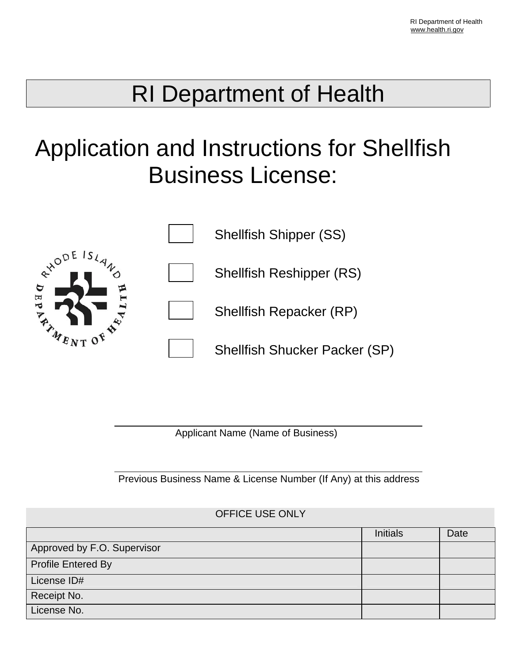## RI Department of Health

# Application and Instructions for Shellfish Business License:



Applicant Name (Name of Business)

Previous Business Name & License Number (If Any) at this address

#### OFFICE USE ONLY

|                             | <b>Initials</b> | Date |
|-----------------------------|-----------------|------|
| Approved by F.O. Supervisor |                 |      |
| <b>Profile Entered By</b>   |                 |      |
| License ID#                 |                 |      |
| Receipt No.                 |                 |      |
| License No.                 |                 |      |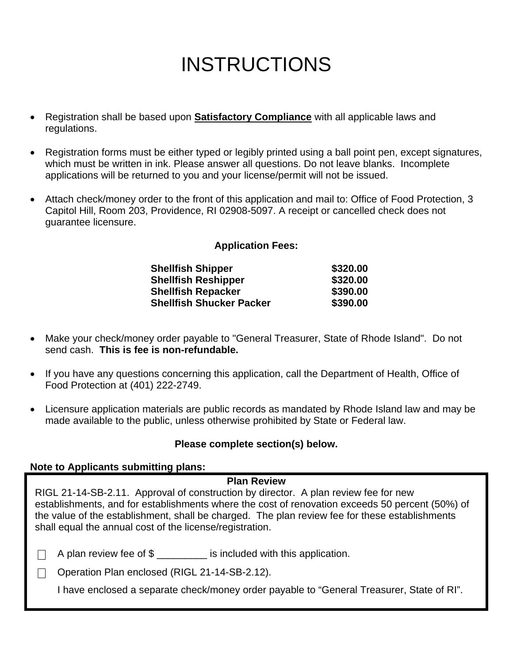## **INSTRUCTIONS**

- Registration shall be based upon **Satisfactory Compliance** with all applicable laws and regulations.
- Registration forms must be either typed or legibly printed using a ball point pen, except signatures, which must be written in ink. Please answer all questions. Do not leave blanks. Incomplete applications will be returned to you and your license/permit will not be issued.
- Attach check/money order to the front of this application and mail to: Office of Food Protection, 3 Capitol Hill, Room 203, Providence, RI 02908-5097. A receipt or cancelled check does not guarantee licensure.

#### **Application Fees:**

| <b>Shellfish Shipper</b>        | \$320.00 |
|---------------------------------|----------|
| <b>Shellfish Reshipper</b>      | \$320.00 |
| <b>Shellfish Repacker</b>       | \$390.00 |
| <b>Shellfish Shucker Packer</b> | \$390.00 |

- Make your check/money order payable to "General Treasurer, State of Rhode Island". Do not send cash. **This is fee is non-refundable.**
- If you have any questions concerning this application, call the Department of Health, Office of Food Protection at (401) 222-2749.
- Licensure application materials are public records as mandated by Rhode Island law and may be made available to the public, unless otherwise prohibited by State or Federal law.

#### **Please complete section(s) below.**

#### **Note to Applicants submitting plans:**

#### **Plan Review**

| RIGL 21-14-SB-2.11. Approval of construction by director. A plan review fee for new             |
|-------------------------------------------------------------------------------------------------|
| establishments, and for establishments where the cost of renovation exceeds 50 percent (50%) of |
| the value of the establishment, shall be charged. The plan review fee for these establishments  |
| shall equal the annual cost of the license/registration.                                        |

A plan review fee of \$ \_\_\_\_\_\_\_\_\_ is included with this application.

□ Operation Plan enclosed (RIGL 21-14-SB-2.12).

I have enclosed a separate check/money order payable to "General Treasurer, State of RI".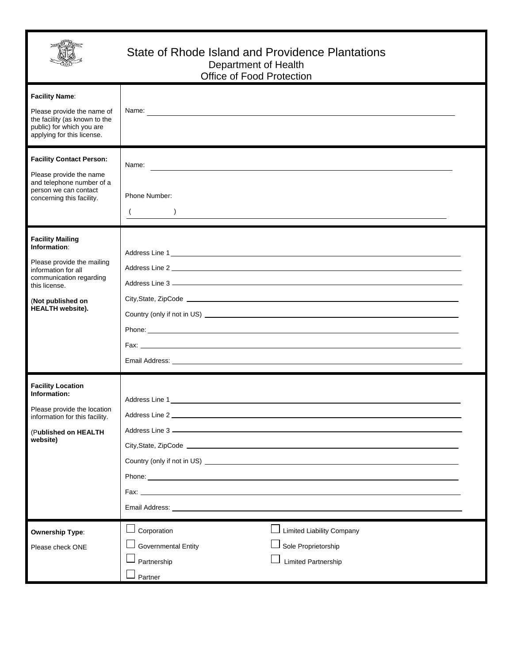

#### State of Rhode Island and Providence Plantations Department of Health Office of Food Protection

| <b>Facility Name:</b><br>Please provide the name of<br>the facility (as known to the<br>public) for which you are<br>applying for this license.                                          | Name: No. 2006. The contract of the contract of the contract of the contract of the contract of the contract of the contract of the contract of the contract of the contract of the contract of the contract of the contract o                                                                                                                                                         |
|------------------------------------------------------------------------------------------------------------------------------------------------------------------------------------------|----------------------------------------------------------------------------------------------------------------------------------------------------------------------------------------------------------------------------------------------------------------------------------------------------------------------------------------------------------------------------------------|
| <b>Facility Contact Person:</b><br>Please provide the name<br>and telephone number of a<br>person we can contact<br>concerning this facility.                                            | Name: <u>contract and contract and contract and contract and contract and contract and contract and contract and contract and contract and contract and contract and contract and contract and contract and contract and contrac</u><br>Phone Number:<br>$($ )<br><u> 1989 - Johann Barbara, martxa alemaniar argamento de la contrada de la contrada de la contrada de la contrad</u> |
| <b>Facility Mailing</b><br>Information:<br>Please provide the mailing<br>information for all<br>communication regarding<br>this license.<br>(Not published on<br><b>HEALTH</b> website). | Country (only if not in US) <u>example and the contract of the contract of the contract of the contract of the contract of the contract of the contract of the contract of the contract of the contract of the contract of the c</u>                                                                                                                                                   |
| <b>Facility Location</b><br>Information:<br>Please provide the location<br>information for this facility.<br>(Published on HEALTH<br>website)                                            | <b>Phone:</b> Phone: The contract of the contract of the contract of the contract of the contract of the contract of the contract of the contract of the contract of the contract of the contract of the contract of the contract o                                                                                                                                                    |
| <b>Ownership Type:</b><br>Please check ONE                                                                                                                                               | <b>Limited Liability Company</b><br>Corporation<br><b>Governmental Entity</b><br>Sole Proprietorship<br>Limited Partnership<br>Partnership<br>Partner                                                                                                                                                                                                                                  |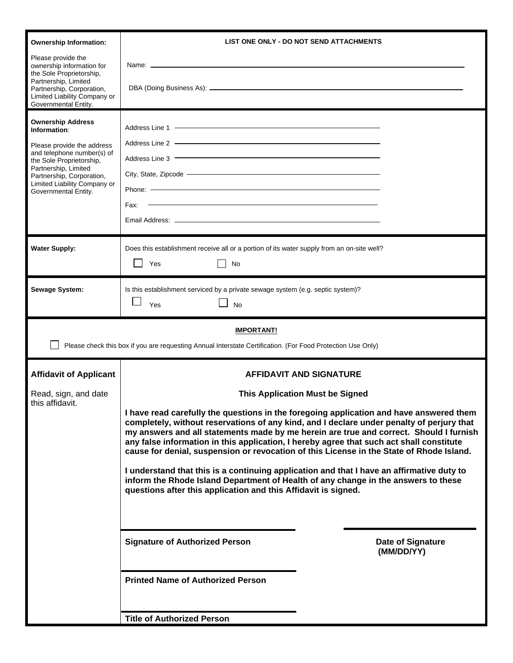| <b>Ownership Information:</b>                                                                                                                                                                                                                 | LIST ONE ONLY - DO NOT SEND ATTACHMENTS                                                                                                                                                                                                                                                                                                                                                                                                                                                                                                                                                                                                                                                                                     |  |
|-----------------------------------------------------------------------------------------------------------------------------------------------------------------------------------------------------------------------------------------------|-----------------------------------------------------------------------------------------------------------------------------------------------------------------------------------------------------------------------------------------------------------------------------------------------------------------------------------------------------------------------------------------------------------------------------------------------------------------------------------------------------------------------------------------------------------------------------------------------------------------------------------------------------------------------------------------------------------------------------|--|
| Please provide the<br>ownership information for<br>the Sole Proprietorship,<br>Partnership, Limited<br>Partnership, Corporation,<br>Limited Liability Company or<br>Governmental Entity.                                                      | Name: Lawrence and the contract of the contract of the contract of the contract of the contract of the contract of the contract of the contract of the contract of the contract of the contract of the contract of the contrac                                                                                                                                                                                                                                                                                                                                                                                                                                                                                              |  |
| <b>Ownership Address</b><br>Information:<br>Please provide the address<br>and telephone number(s) of<br>the Sole Proprietorship,<br>Partnership, Limited<br>Partnership, Corporation,<br>Limited Liability Company or<br>Governmental Entity. | Address Line 2 - The Commission of the Commission of the Commission of the Commission of the Commission of the<br>Address Line 3 <b>Contract Contract Contract Contract Contract Contract Contract Contract Contract Contract Contract Contract Contract Contract Contract Contract Contract Contract Contract Contract Contract Contract Contract</b><br>Phone: — <b>Manufacture Community Community</b> Phone: 2004<br><u> 1989 - Johann Harry Barn, mars ar breithinn ar breithinn ar breithinn ar breithinn ar breithinn ar breithin</u><br>Fax:                                                                                                                                                                        |  |
|                                                                                                                                                                                                                                               |                                                                                                                                                                                                                                                                                                                                                                                                                                                                                                                                                                                                                                                                                                                             |  |
| <b>Water Supply:</b>                                                                                                                                                                                                                          | Does this establishment receive all or a portion of its water supply from an on-site well?<br>Yes<br>No                                                                                                                                                                                                                                                                                                                                                                                                                                                                                                                                                                                                                     |  |
| <b>Sewage System:</b>                                                                                                                                                                                                                         | Is this establishment serviced by a private sewage system (e.g. septic system)?<br>Yes<br><b>No</b>                                                                                                                                                                                                                                                                                                                                                                                                                                                                                                                                                                                                                         |  |
| <b>IMPORTANT!</b><br>Please check this box if you are requesting Annual Interstate Certification. (For Food Protection Use Only)                                                                                                              |                                                                                                                                                                                                                                                                                                                                                                                                                                                                                                                                                                                                                                                                                                                             |  |
| <b>Affidavit of Applicant</b>                                                                                                                                                                                                                 | <b>AFFIDAVIT AND SIGNATURE</b>                                                                                                                                                                                                                                                                                                                                                                                                                                                                                                                                                                                                                                                                                              |  |
| Read, sign, and date<br>this affidavit.                                                                                                                                                                                                       | <b>This Application Must be Signed</b>                                                                                                                                                                                                                                                                                                                                                                                                                                                                                                                                                                                                                                                                                      |  |
|                                                                                                                                                                                                                                               | I have read carefully the questions in the foregoing application and have answered them<br>completely, without reservations of any kind, and I declare under penalty of perjury that<br>my answers and all statements made by me herein are true and correct. Should I furnish<br>any false information in this application, I hereby agree that such act shall constitute<br>cause for denial, suspension or revocation of this License in the State of Rhode Island.<br>I understand that this is a continuing application and that I have an affirmative duty to<br>inform the Rhode Island Department of Health of any change in the answers to these<br>questions after this application and this Affidavit is signed. |  |
|                                                                                                                                                                                                                                               | <b>Signature of Authorized Person</b><br>Date of Signature<br>(MM/DD/YY)                                                                                                                                                                                                                                                                                                                                                                                                                                                                                                                                                                                                                                                    |  |
|                                                                                                                                                                                                                                               |                                                                                                                                                                                                                                                                                                                                                                                                                                                                                                                                                                                                                                                                                                                             |  |
|                                                                                                                                                                                                                                               | <b>Printed Name of Authorized Person</b>                                                                                                                                                                                                                                                                                                                                                                                                                                                                                                                                                                                                                                                                                    |  |